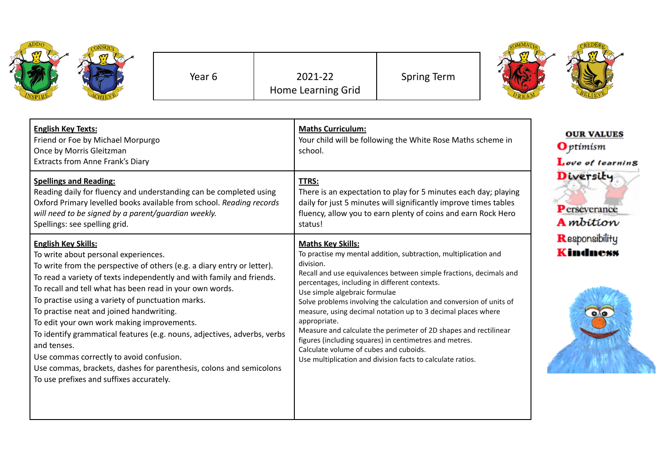| <b>ADDO</b> | CONSQUT |
|-------------|---------|
| VSPIRE      | ż       |

Year 6 2021-22 Home Learning Grid Spring Term



| <b>English Key Texts:</b><br>Friend or Foe by Michael Morpurgo<br>Once by Morris Gleitzman<br>Extracts from Anne Frank's Diary                                                                                                                                                                                                                                                                                                                                                                                                                                                                                                                                                              | <b>Maths Curriculum:</b><br>Your child will be following the White Rose Maths scheme in<br>school.                                                                                                                                                                                                                                                                                                                                                                                                                                                                                                                                                            | <b>OUR VALUES</b><br>$\mathbf{O}$ ptimism<br>Love of learning |
|---------------------------------------------------------------------------------------------------------------------------------------------------------------------------------------------------------------------------------------------------------------------------------------------------------------------------------------------------------------------------------------------------------------------------------------------------------------------------------------------------------------------------------------------------------------------------------------------------------------------------------------------------------------------------------------------|---------------------------------------------------------------------------------------------------------------------------------------------------------------------------------------------------------------------------------------------------------------------------------------------------------------------------------------------------------------------------------------------------------------------------------------------------------------------------------------------------------------------------------------------------------------------------------------------------------------------------------------------------------------|---------------------------------------------------------------|
| <b>Spellings and Reading:</b><br>Reading daily for fluency and understanding can be completed using<br>Oxford Primary levelled books available from school. Reading records<br>will need to be signed by a parent/guardian weekly.<br>Spellings: see spelling grid.                                                                                                                                                                                                                                                                                                                                                                                                                         | TTRS:<br>There is an expectation to play for 5 minutes each day; playing<br>daily for just 5 minutes will significantly improve times tables<br>fluency, allow you to earn plenty of coins and earn Rock Hero<br>status!                                                                                                                                                                                                                                                                                                                                                                                                                                      | Diversity<br>Perseverance<br><b>A</b> mbition                 |
| <b>English Key Skills:</b><br>To write about personal experiences.<br>To write from the perspective of others (e.g. a diary entry or letter).<br>To read a variety of texts independently and with family and friends.<br>To recall and tell what has been read in your own words.<br>To practise using a variety of punctuation marks.<br>To practise neat and joined handwriting.<br>To edit your own work making improvements.<br>To identify grammatical features (e.g. nouns, adjectives, adverbs, verbs<br>and tenses.<br>Use commas correctly to avoid confusion.<br>Use commas, brackets, dashes for parenthesis, colons and semicolons<br>To use prefixes and suffixes accurately. | <b>Maths Key Skills:</b><br>To practise my mental addition, subtraction, multiplication and<br>division.<br>Recall and use equivalences between simple fractions, decimals and<br>percentages, including in different contexts.<br>Use simple algebraic formulae<br>Solve problems involving the calculation and conversion of units of<br>measure, using decimal notation up to 3 decimal places where<br>appropriate.<br>Measure and calculate the perimeter of 2D shapes and rectilinear<br>figures (including squares) in centimetres and metres.<br>Calculate volume of cubes and cuboids.<br>Use multiplication and division facts to calculate ratios. | Responsibility<br><b>Kindness</b>                             |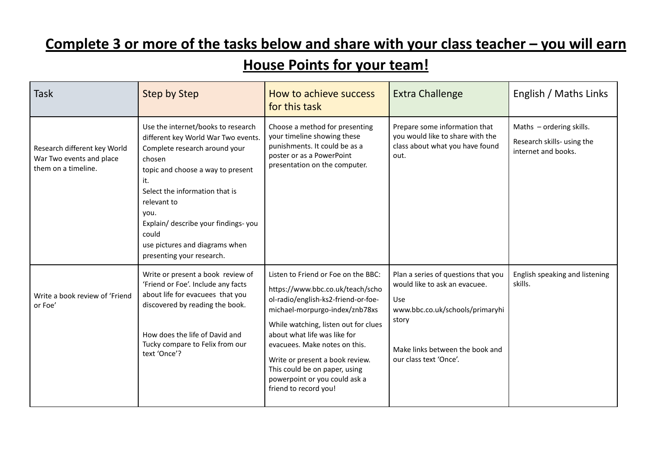## **Complete 3 or more of the tasks below and share with your class teacher – you will earn**

## **House Points for your team!**

| <b>Task</b>                                                                     | <b>Step by Step</b>                                                                                                                                                                                                                                                                                                                      | How to achieve success<br>for this task                                                                                                                                                                                                                                                                                                                                                 | <b>Extra Challenge</b>                                                                                                                                                               | English / Maths Links                                                         |
|---------------------------------------------------------------------------------|------------------------------------------------------------------------------------------------------------------------------------------------------------------------------------------------------------------------------------------------------------------------------------------------------------------------------------------|-----------------------------------------------------------------------------------------------------------------------------------------------------------------------------------------------------------------------------------------------------------------------------------------------------------------------------------------------------------------------------------------|--------------------------------------------------------------------------------------------------------------------------------------------------------------------------------------|-------------------------------------------------------------------------------|
| Research different key World<br>War Two events and place<br>them on a timeline. | Use the internet/books to research<br>different key World War Two events.<br>Complete research around your<br>chosen<br>topic and choose a way to present<br>it.<br>Select the information that is<br>relevant to<br>you.<br>Explain/ describe your findings-you<br>could<br>use pictures and diagrams when<br>presenting your research. | Choose a method for presenting<br>your timeline showing these<br>punishments. It could be as a<br>poster or as a PowerPoint<br>presentation on the computer.                                                                                                                                                                                                                            | Prepare some information that<br>you would like to share with the<br>class about what you have found<br>out.                                                                         | Maths - ordering skills.<br>Research skills- using the<br>internet and books. |
| Write a book review of 'Friend<br>or Foe'                                       | Write or present a book review of<br>'Friend or Foe'. Include any facts<br>about life for evacuees that you<br>discovered by reading the book.<br>How does the life of David and<br>Tucky compare to Felix from our<br>text 'Once'?                                                                                                      | Listen to Friend or Foe on the BBC:<br>https://www.bbc.co.uk/teach/scho<br>ol-radio/english-ks2-friend-or-foe-<br>michael-morpurgo-index/znb78xs<br>While watching, listen out for clues<br>about what life was like for<br>evacuees. Make notes on this.<br>Write or present a book review.<br>This could be on paper, using<br>powerpoint or you could ask a<br>friend to record you! | Plan a series of questions that you<br>would like to ask an evacuee.<br>Use<br>www.bbc.co.uk/schools/primaryhi<br>story<br>Make links between the book and<br>our class text 'Once'. | English speaking and listening<br>skills.                                     |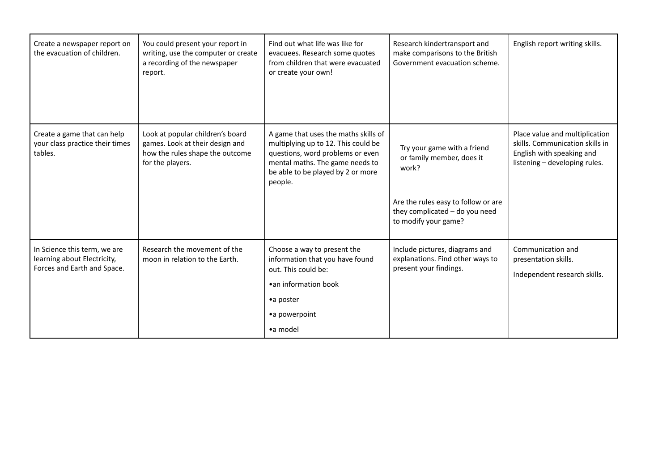| Create a newspaper report on<br>the evacuation of children.                                | You could present your report in<br>writing, use the computer or create<br>a recording of the newspaper<br>report.         | Find out what life was like for<br>evacuees. Research some quotes<br>from children that were evacuated<br>or create your own!                                                                      | Research kindertransport and<br>make comparisons to the British<br>Government evacuation scheme.                                                                   | English report writing skills.                                                                                                  |
|--------------------------------------------------------------------------------------------|----------------------------------------------------------------------------------------------------------------------------|----------------------------------------------------------------------------------------------------------------------------------------------------------------------------------------------------|--------------------------------------------------------------------------------------------------------------------------------------------------------------------|---------------------------------------------------------------------------------------------------------------------------------|
| Create a game that can help<br>your class practice their times<br>tables.                  | Look at popular children's board<br>games. Look at their design and<br>how the rules shape the outcome<br>for the players. | A game that uses the maths skills of<br>multiplying up to 12. This could be<br>questions, word problems or even<br>mental maths. The game needs to<br>be able to be played by 2 or more<br>people. | Try your game with a friend<br>or family member, does it<br>work?<br>Are the rules easy to follow or are<br>they complicated - do you need<br>to modify your game? | Place value and multiplication<br>skills. Communication skills in<br>English with speaking and<br>listening - developing rules. |
| In Science this term, we are<br>learning about Electricity,<br>Forces and Earth and Space. | Research the movement of the<br>moon in relation to the Earth.                                                             | Choose a way to present the<br>information that you have found<br>out. This could be:<br>• an information book<br>•a poster<br>• a powerpoint<br>•a model                                          | Include pictures, diagrams and<br>explanations. Find other ways to<br>present your findings.                                                                       | Communication and<br>presentation skills.<br>Independent research skills.                                                       |